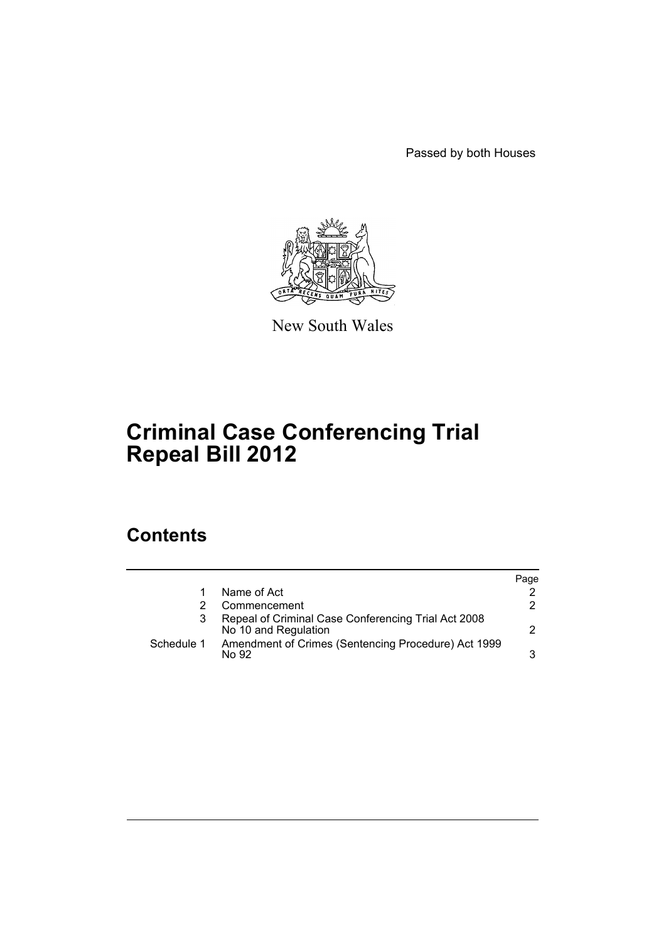Passed by both Houses



New South Wales

# **Criminal Case Conferencing Trial Repeal Bill 2012**

## **Contents**

|            |                                                                             | Page |
|------------|-----------------------------------------------------------------------------|------|
|            | Name of Act                                                                 |      |
|            | Commencement                                                                | 2    |
| 3          | Repeal of Criminal Case Conferencing Trial Act 2008<br>No 10 and Regulation | 2.   |
| Schedule 1 | Amendment of Crimes (Sentencing Procedure) Act 1999<br>No 92                | 3    |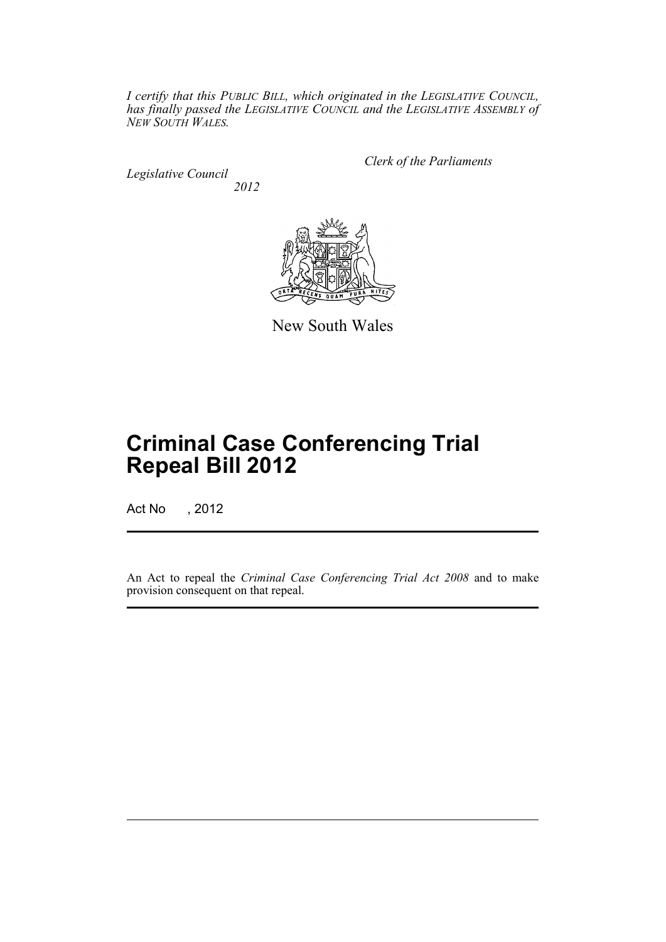*I certify that this PUBLIC BILL, which originated in the LEGISLATIVE COUNCIL, has finally passed the LEGISLATIVE COUNCIL and the LEGISLATIVE ASSEMBLY of NEW SOUTH WALES.*

*Legislative Council 2012* *Clerk of the Parliaments*



New South Wales

## **Criminal Case Conferencing Trial Repeal Bill 2012**

Act No , 2012

An Act to repeal the *Criminal Case Conferencing Trial Act 2008* and to make provision consequent on that repeal.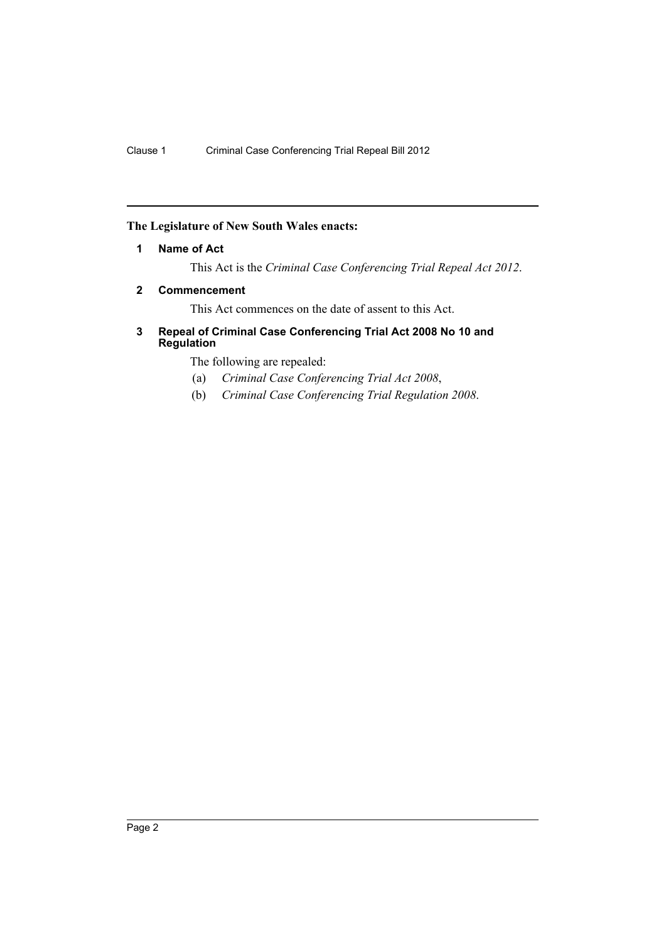### <span id="page-3-0"></span>**The Legislature of New South Wales enacts:**

#### **1 Name of Act**

This Act is the *Criminal Case Conferencing Trial Repeal Act 2012*.

#### <span id="page-3-1"></span>**2 Commencement**

This Act commences on the date of assent to this Act.

#### <span id="page-3-2"></span>**3 Repeal of Criminal Case Conferencing Trial Act 2008 No 10 and Regulation**

The following are repealed:

- (a) *Criminal Case Conferencing Trial Act 2008*,
- (b) *Criminal Case Conferencing Trial Regulation 2008*.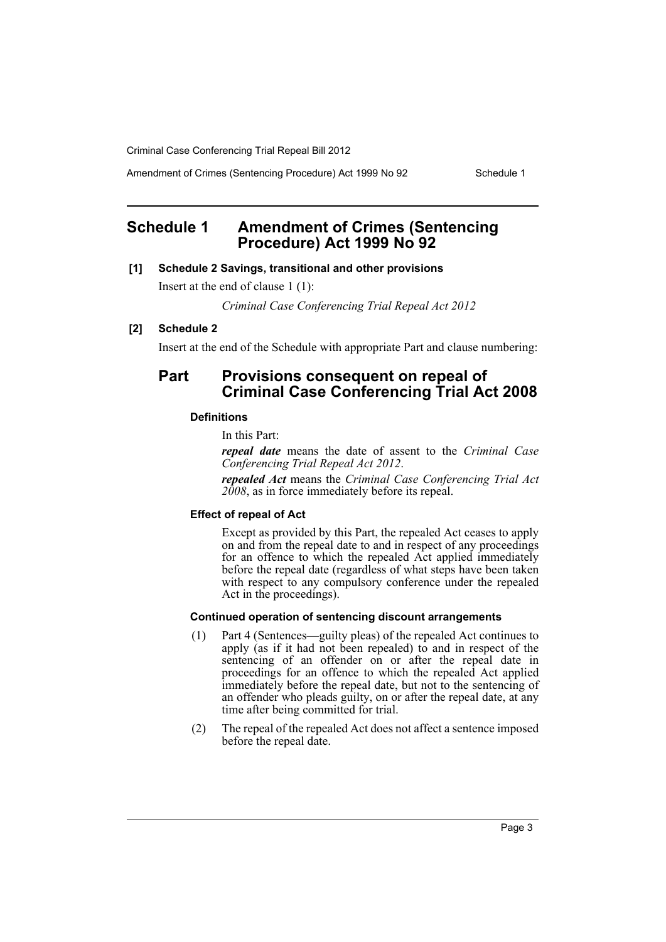Criminal Case Conferencing Trial Repeal Bill 2012

Amendment of Crimes (Sentencing Procedure) Act 1999 No 92 Schedule 1

## <span id="page-4-0"></span>**Schedule 1 Amendment of Crimes (Sentencing Procedure) Act 1999 No 92**

#### **[1] Schedule 2 Savings, transitional and other provisions**

Insert at the end of clause 1 (1):

*Criminal Case Conferencing Trial Repeal Act 2012*

#### **[2] Schedule 2**

Insert at the end of the Schedule with appropriate Part and clause numbering:

### **Part Provisions consequent on repeal of Criminal Case Conferencing Trial Act 2008**

#### **Definitions**

In this Part:

*repeal date* means the date of assent to the *Criminal Case Conferencing Trial Repeal Act 2012*.

*repealed Act* means the *Criminal Case Conferencing Trial Act 2008*, as in force immediately before its repeal.

#### **Effect of repeal of Act**

Except as provided by this Part, the repealed Act ceases to apply on and from the repeal date to and in respect of any proceedings for an offence to which the repealed Act applied immediately before the repeal date (regardless of what steps have been taken with respect to any compulsory conference under the repealed Act in the proceedings).

#### **Continued operation of sentencing discount arrangements**

- (1) Part 4 (Sentences—guilty pleas) of the repealed Act continues to apply (as if it had not been repealed) to and in respect of the sentencing of an offender on or after the repeal date in proceedings for an offence to which the repealed Act applied immediately before the repeal date, but not to the sentencing of an offender who pleads guilty, on or after the repeal date, at any time after being committed for trial.
- (2) The repeal of the repealed Act does not affect a sentence imposed before the repeal date.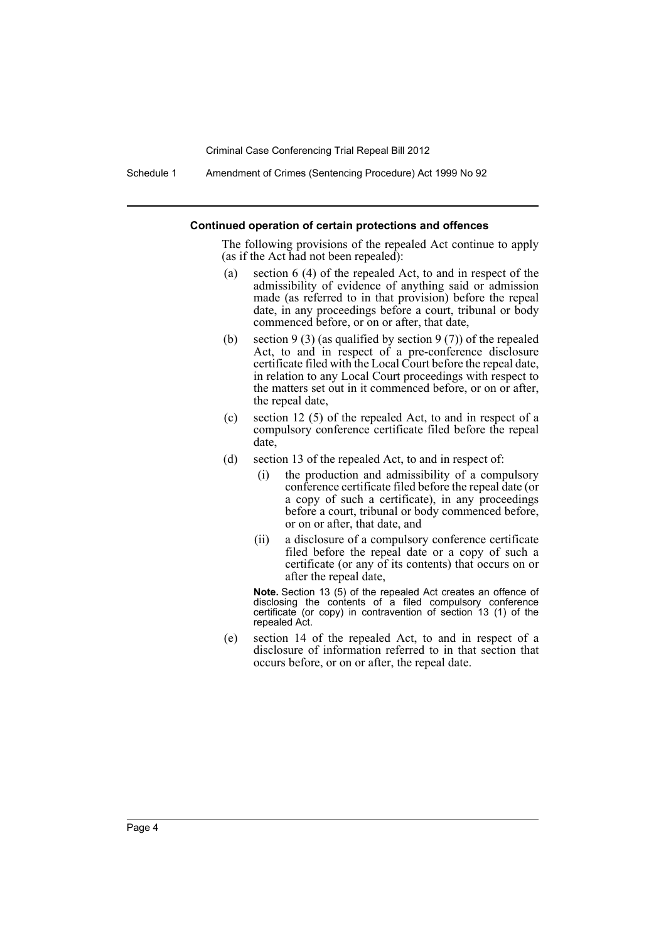Criminal Case Conferencing Trial Repeal Bill 2012

Schedule 1 Amendment of Crimes (Sentencing Procedure) Act 1999 No 92

#### **Continued operation of certain protections and offences**

The following provisions of the repealed Act continue to apply (as if the Act had not been repealed):

- (a) section 6 (4) of the repealed Act, to and in respect of the admissibility of evidence of anything said or admission made (as referred to in that provision) before the repeal date, in any proceedings before a court, tribunal or body commenced before, or on or after, that date,
- (b) section 9 (3) (as qualified by section 9 (7)) of the repealed Act, to and in respect of a pre-conference disclosure certificate filed with the Local Court before the repeal date, in relation to any Local Court proceedings with respect to the matters set out in it commenced before, or on or after, the repeal date,
- (c) section 12 (5) of the repealed Act, to and in respect of a compulsory conference certificate filed before the repeal date,
- (d) section 13 of the repealed Act, to and in respect of:
	- (i) the production and admissibility of a compulsory conference certificate filed before the repeal date (or a copy of such a certificate), in any proceedings before a court, tribunal or body commenced before, or on or after, that date, and
	- (ii) a disclosure of a compulsory conference certificate filed before the repeal date or a copy of such a certificate (or any of its contents) that occurs on or after the repeal date,

**Note.** Section 13 (5) of the repealed Act creates an offence of disclosing the contents of a filed compulsory conference certificate (or copy) in contravention of section 13 (1) of the repealed Act.

(e) section 14 of the repealed Act, to and in respect of a disclosure of information referred to in that section that occurs before, or on or after, the repeal date.